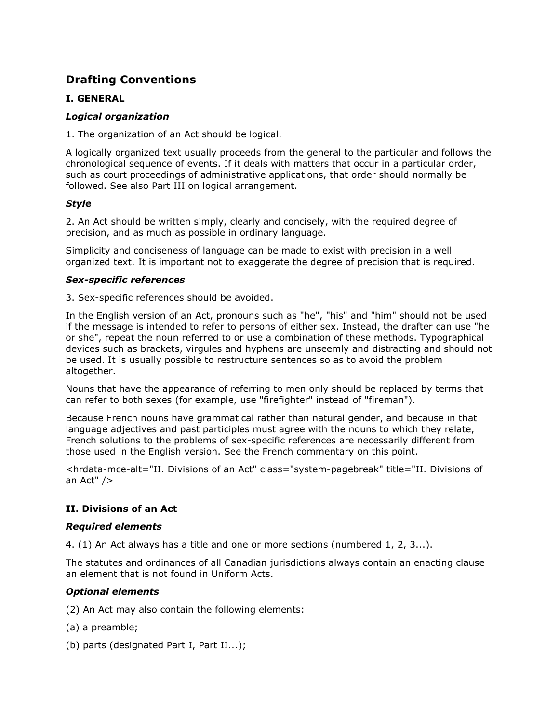# Drafting Conventions

# I. GENERAL

# Logical organization

1. The organization of an Act should be logical.

A logically organized text usually proceeds from the general to the particular and follows the chronological sequence of events. If it deals with matters that occur in a particular order, such as court proceedings of administrative applications, that order should normally be followed. See also Part III on logical arrangement.

# Style

2. An Act should be written simply, clearly and concisely, with the required degree of precision, and as much as possible in ordinary language.

Simplicity and conciseness of language can be made to exist with precision in a well organized text. It is important not to exaggerate the degree of precision that is required.

## Sex-specific references

3. Sex-specific references should be avoided.

In the English version of an Act, pronouns such as "he", "his" and "him" should not be used if the message is intended to refer to persons of either sex. Instead, the drafter can use "he or she", repeat the noun referred to or use a combination of these methods. Typographical devices such as brackets, virgules and hyphens are unseemly and distracting and should not be used. It is usually possible to restructure sentences so as to avoid the problem altogether.

Nouns that have the appearance of referring to men only should be replaced by terms that can refer to both sexes (for example, use "firefighter" instead of "fireman").

Because French nouns have grammatical rather than natural gender, and because in that language adjectives and past participles must agree with the nouns to which they relate, French solutions to the problems of sex-specific references are necessarily different from those used in the English version. See the French commentary on this point.

<hrdata-mce-alt="II. Divisions of an Act" class="system-pagebreak" title="II. Divisions of an Act" />

# II. Divisions of an Act

#### Required elements

4. (1) An Act always has a title and one or more sections (numbered 1, 2, 3...).

The statutes and ordinances of all Canadian jurisdictions always contain an enacting clause an element that is not found in Uniform Acts.

# Optional elements

- (2) An Act may also contain the following elements:
- (a) a preamble;
- (b) parts (designated Part I, Part II...);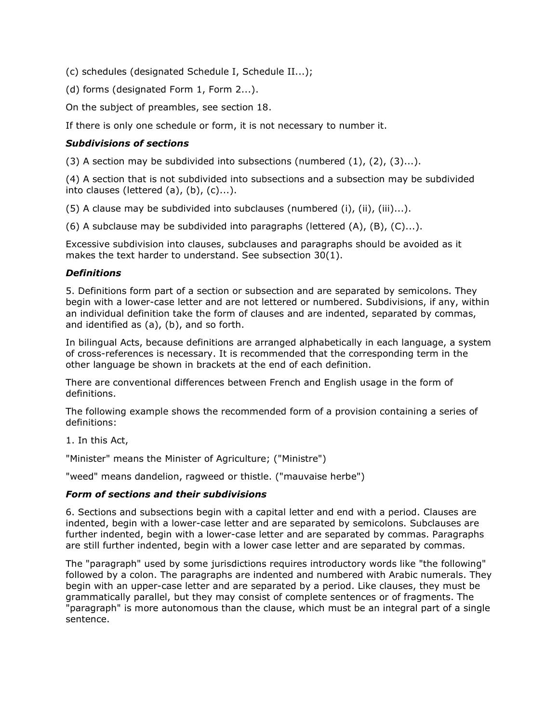(c) schedules (designated Schedule I, Schedule II...);

(d) forms (designated Form 1, Form 2...).

On the subject of preambles, see section 18.

If there is only one schedule or form, it is not necessary to number it.

# Subdivisions of sections

(3) A section may be subdivided into subsections (numbered  $(1)$ ,  $(2)$ ,  $(3)...$ ).

(4) A section that is not subdivided into subsections and a subsection may be subdivided into clauses (lettered  $(a)$ ,  $(b)$ ,  $(c)$ ...).

 $(5)$  A clause may be subdivided into subclauses (numbered (i), (ii), (iii)...).

(6) A subclause may be subdivided into paragraphs (lettered  $(A)$ ,  $(B)$ ,  $(C)$ ...).

Excessive subdivision into clauses, subclauses and paragraphs should be avoided as it makes the text harder to understand. See subsection 30(1).

#### **Definitions**

5. Definitions form part of a section or subsection and are separated by semicolons. They begin with a lower-case letter and are not lettered or numbered. Subdivisions, if any, within an individual definition take the form of clauses and are indented, separated by commas, and identified as (a), (b), and so forth.

In bilingual Acts, because definitions are arranged alphabetically in each language, a system of cross-references is necessary. It is recommended that the corresponding term in the other language be shown in brackets at the end of each definition.

There are conventional differences between French and English usage in the form of definitions.

The following example shows the recommended form of a provision containing a series of definitions:

1. In this Act,

"Minister" means the Minister of Agriculture; ("Ministre")

"weed" means dandelion, ragweed or thistle. ("mauvaise herbe")

#### Form of sections and their subdivisions

6. Sections and subsections begin with a capital letter and end with a period. Clauses are indented, begin with a lower-case letter and are separated by semicolons. Subclauses are further indented, begin with a lower-case letter and are separated by commas. Paragraphs are still further indented, begin with a lower case letter and are separated by commas.

The "paragraph" used by some jurisdictions requires introductory words like "the following" followed by a colon. The paragraphs are indented and numbered with Arabic numerals. They begin with an upper-case letter and are separated by a period. Like clauses, they must be grammatically parallel, but they may consist of complete sentences or of fragments. The "paragraph" is more autonomous than the clause, which must be an integral part of a single sentence.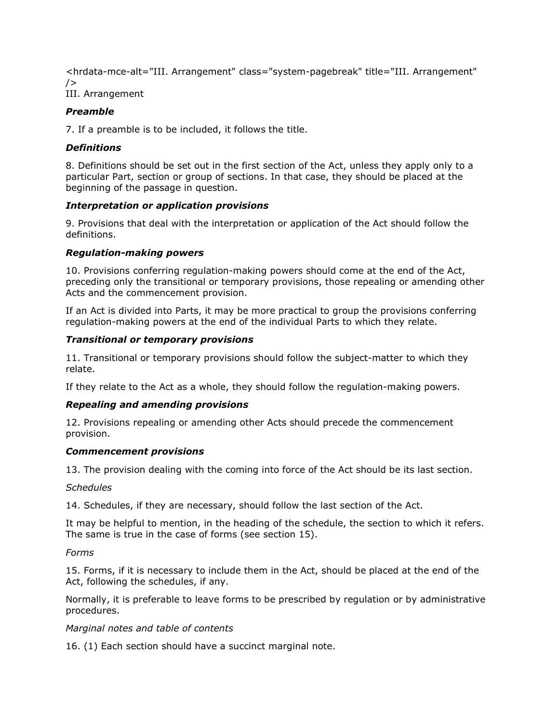<hrdata-mce-alt="III. Arrangement" class="system-pagebreak" title="III. Arrangement"  $/$ III. Arrangement

# Preamble

7. If a preamble is to be included, it follows the title.

## **Definitions**

8. Definitions should be set out in the first section of the Act, unless they apply only to a particular Part, section or group of sections. In that case, they should be placed at the beginning of the passage in question.

## Interpretation or application provisions

9. Provisions that deal with the interpretation or application of the Act should follow the definitions.

#### Regulation-making powers

10. Provisions conferring regulation-making powers should come at the end of the Act, preceding only the transitional or temporary provisions, those repealing or amending other Acts and the commencement provision.

If an Act is divided into Parts, it may be more practical to group the provisions conferring regulation-making powers at the end of the individual Parts to which they relate.

## Transitional or temporary provisions

11. Transitional or temporary provisions should follow the subject-matter to which they relate.

If they relate to the Act as a whole, they should follow the regulation-making powers.

#### Repealing and amending provisions

12. Provisions repealing or amending other Acts should precede the commencement provision.

#### Commencement provisions

13. The provision dealing with the coming into force of the Act should be its last section.

#### **Schedules**

14. Schedules, if they are necessary, should follow the last section of the Act.

It may be helpful to mention, in the heading of the schedule, the section to which it refers. The same is true in the case of forms (see section 15).

Forms

15. Forms, if it is necessary to include them in the Act, should be placed at the end of the Act, following the schedules, if any.

Normally, it is preferable to leave forms to be prescribed by regulation or by administrative procedures.

#### Marginal notes and table of contents

16. (1) Each section should have a succinct marginal note.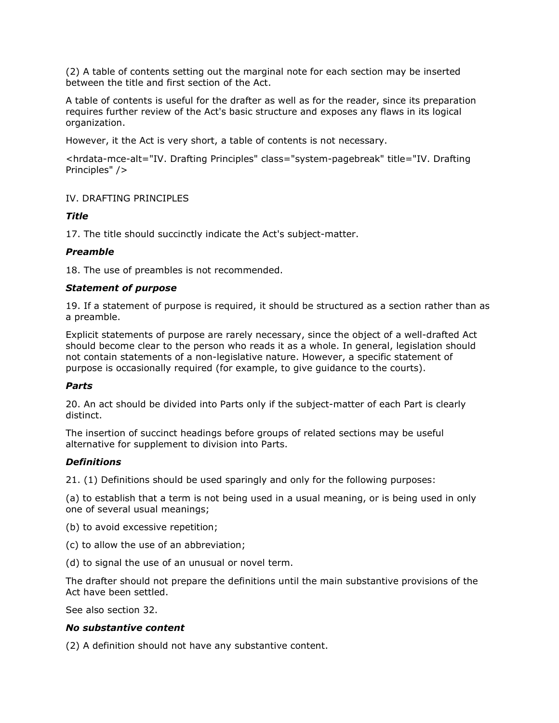(2) A table of contents setting out the marginal note for each section may be inserted between the title and first section of the Act.

A table of contents is useful for the drafter as well as for the reader, since its preparation requires further review of the Act's basic structure and exposes any flaws in its logical organization.

However, it the Act is very short, a table of contents is not necessary.

<hrdata-mce-alt="IV. Drafting Principles" class="system-pagebreak" title="IV. Drafting Principles" />

IV. DRAFTING PRINCIPLES

## Title

17. The title should succinctly indicate the Act's subject-matter.

#### Preamble

18. The use of preambles is not recommended.

#### Statement of purpose

19. If a statement of purpose is required, it should be structured as a section rather than as a preamble.

Explicit statements of purpose are rarely necessary, since the object of a well-drafted Act should become clear to the person who reads it as a whole. In general, legislation should not contain statements of a non-legislative nature. However, a specific statement of purpose is occasionally required (for example, to give guidance to the courts).

#### Parts

20. An act should be divided into Parts only if the subject-matter of each Part is clearly distinct.

The insertion of succinct headings before groups of related sections may be useful alternative for supplement to division into Parts.

#### **Definitions**

21. (1) Definitions should be used sparingly and only for the following purposes:

(a) to establish that a term is not being used in a usual meaning, or is being used in only one of several usual meanings;

(b) to avoid excessive repetition;

- (c) to allow the use of an abbreviation;
- (d) to signal the use of an unusual or novel term.

The drafter should not prepare the definitions until the main substantive provisions of the Act have been settled.

See also section 32.

#### No substantive content

(2) A definition should not have any substantive content.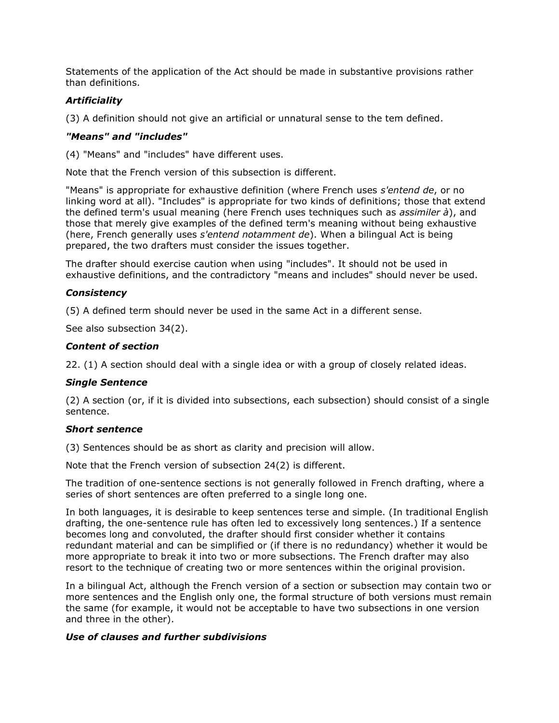Statements of the application of the Act should be made in substantive provisions rather than definitions.

# **Artificiality**

(3) A definition should not give an artificial or unnatural sense to the tem defined.

#### "Means" and "includes"

(4) "Means" and "includes" have different uses.

Note that the French version of this subsection is different.

"Means" is appropriate for exhaustive definition (where French uses s'entend de, or no linking word at all). "Includes" is appropriate for two kinds of definitions; those that extend the defined term's usual meaning (here French uses techniques such as *assimiler à*), and those that merely give examples of the defined term's meaning without being exhaustive (here, French generally uses *s'entend notamment de*). When a bilingual Act is being prepared, the two drafters must consider the issues together.

The drafter should exercise caution when using "includes". It should not be used in exhaustive definitions, and the contradictory "means and includes" should never be used.

#### **Consistency**

(5) A defined term should never be used in the same Act in a different sense.

See also subsection 34(2).

#### Content of section

22. (1) A section should deal with a single idea or with a group of closely related ideas.

#### Single Sentence

(2) A section (or, if it is divided into subsections, each subsection) should consist of a single sentence.

#### Short sentence

(3) Sentences should be as short as clarity and precision will allow.

Note that the French version of subsection 24(2) is different.

The tradition of one-sentence sections is not generally followed in French drafting, where a series of short sentences are often preferred to a single long one.

In both languages, it is desirable to keep sentences terse and simple. (In traditional English drafting, the one-sentence rule has often led to excessively long sentences.) If a sentence becomes long and convoluted, the drafter should first consider whether it contains redundant material and can be simplified or (if there is no redundancy) whether it would be more appropriate to break it into two or more subsections. The French drafter may also resort to the technique of creating two or more sentences within the original provision.

In a bilingual Act, although the French version of a section or subsection may contain two or more sentences and the English only one, the formal structure of both versions must remain the same (for example, it would not be acceptable to have two subsections in one version and three in the other).

#### Use of clauses and further subdivisions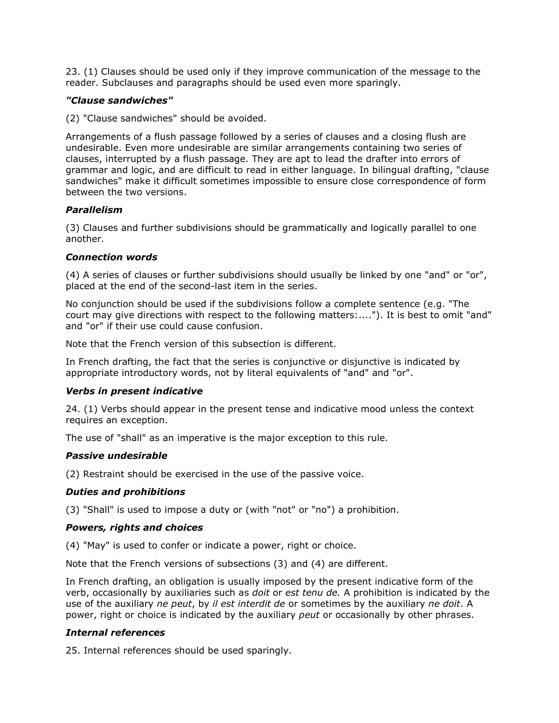23. (1) Clauses should be used only if they improve communication of the message to the reader. Subclauses and paragraphs should be used even more sparingly.

### "Clause sandwiches"

(2) "Clause sandwiches" should be avoided.

Arrangements of a flush passage followed by a series of clauses and a closing flush are undesirable. Even more undesirable are similar arrangements containing two series of clauses, interrupted by a flush passage. They are apt to lead the drafter into errors of grammar and logic, and are difficult to read in either language. In bilingual drafting, "clause sandwiches" make it difficult sometimes impossible to ensure close correspondence of form between the two versions.

## Parallelism

(3) Clauses and further subdivisions should be grammatically and logically parallel to one another.

## Connection words

(4) A series of clauses or further subdivisions should usually be linked by one "and" or "or", placed at the end of the second-last item in the series.

No conjunction should be used if the subdivisions follow a complete sentence (e.g. "The court may give directions with respect to the following matters:...."). It is best to omit "and" and "or" if their use could cause confusion.

Note that the French version of this subsection is different.

In French drafting, the fact that the series is conjunctive or disjunctive is indicated by appropriate introductory words, not by literal equivalents of "and" and "or".

#### Verbs in present indicative

24. (1) Verbs should appear in the present tense and indicative mood unless the context requires an exception.

The use of "shall" as an imperative is the major exception to this rule.

#### Passive undesirable

(2) Restraint should be exercised in the use of the passive voice.

#### Duties and prohibitions

(3) "Shall" is used to impose a duty or (with "not" or "no") a prohibition.

#### Powers, rights and choices

(4) "May" is used to confer or indicate a power, right or choice.

Note that the French versions of subsections (3) and (4) are different.

In French drafting, an obligation is usually imposed by the present indicative form of the verb, occasionally by auxiliaries such as *doit* or est tenu de. A prohibition is indicated by the use of the auxiliary ne peut, by il est interdit de or sometimes by the auxiliary ne doit. A power, right or choice is indicated by the auxiliary *peut* or occasionally by other phrases.

#### Internal references

25. Internal references should be used sparingly.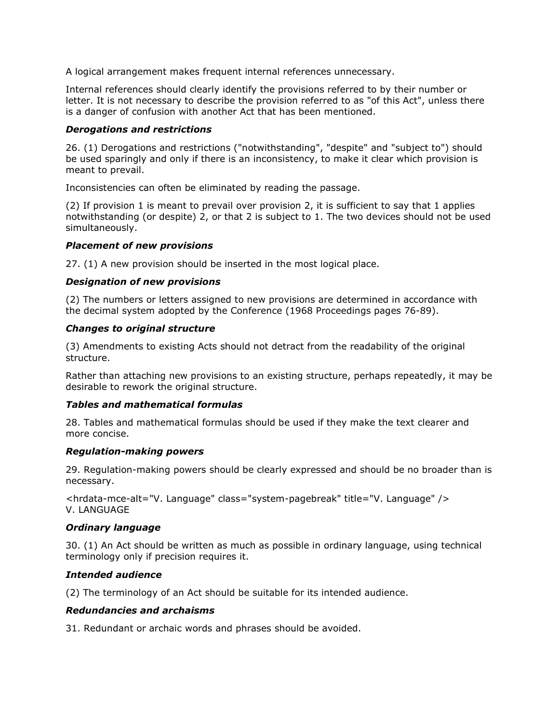A logical arrangement makes frequent internal references unnecessary.

Internal references should clearly identify the provisions referred to by their number or letter. It is not necessary to describe the provision referred to as "of this Act", unless there is a danger of confusion with another Act that has been mentioned.

#### Derogations and restrictions

26. (1) Derogations and restrictions ("notwithstanding", "despite" and "subject to") should be used sparingly and only if there is an inconsistency, to make it clear which provision is meant to prevail.

Inconsistencies can often be eliminated by reading the passage.

(2) If provision 1 is meant to prevail over provision 2, it is sufficient to say that 1 applies notwithstanding (or despite) 2, or that 2 is subject to 1. The two devices should not be used simultaneously.

#### Placement of new provisions

27. (1) A new provision should be inserted in the most logical place.

#### Designation of new provisions

(2) The numbers or letters assigned to new provisions are determined in accordance with the decimal system adopted by the Conference (1968 Proceedings pages 76-89).

#### Changes to original structure

(3) Amendments to existing Acts should not detract from the readability of the original structure.

Rather than attaching new provisions to an existing structure, perhaps repeatedly, it may be desirable to rework the original structure.

#### Tables and mathematical formulas

28. Tables and mathematical formulas should be used if they make the text clearer and more concise.

#### Regulation-making powers

29. Regulation-making powers should be clearly expressed and should be no broader than is necessary.

<hrdata-mce-alt="V. Language" class="system-pagebreak" title="V. Language" /> V. LANGUAGE

#### Ordinary language

30. (1) An Act should be written as much as possible in ordinary language, using technical terminology only if precision requires it.

#### Intended audience

(2) The terminology of an Act should be suitable for its intended audience.

#### Redundancies and archaisms

31. Redundant or archaic words and phrases should be avoided.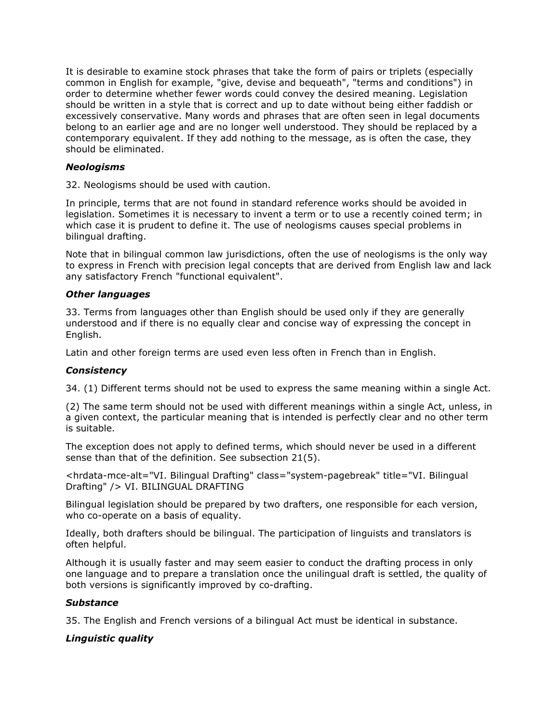It is desirable to examine stock phrases that take the form of pairs or triplets (especially common in English for example, "give, devise and bequeath", "terms and conditions") in order to determine whether fewer words could convey the desired meaning. Legislation should be written in a style that is correct and up to date without being either faddish or excessively conservative. Many words and phrases that are often seen in legal documents belong to an earlier age and are no longer well understood. They should be replaced by a contemporary equivalent. If they add nothing to the message, as is often the case, they should be eliminated.

### **Neologisms**

32. Neologisms should be used with caution.

In principle, terms that are not found in standard reference works should be avoided in legislation. Sometimes it is necessary to invent a term or to use a recently coined term; in which case it is prudent to define it. The use of neologisms causes special problems in bilingual drafting.

Note that in bilingual common law jurisdictions, often the use of neologisms is the only way to express in French with precision legal concepts that are derived from English law and lack any satisfactory French "functional equivalent".

## Other languages

33. Terms from languages other than English should be used only if they are generally understood and if there is no equally clear and concise way of expressing the concept in English.

Latin and other foreign terms are used even less often in French than in English.

#### **Consistency**

34. (1) Different terms should not be used to express the same meaning within a single Act.

(2) The same term should not be used with different meanings within a single Act, unless, in a given context, the particular meaning that is intended is perfectly clear and no other term is suitable.

The exception does not apply to defined terms, which should never be used in a different sense than that of the definition. See subsection 21(5).

<hrdata-mce-alt="VI. Bilingual Drafting" class="system-pagebreak" title="VI. Bilingual Drafting" /> VI. BILINGUAL DRAFTING

Bilingual legislation should be prepared by two drafters, one responsible for each version, who co-operate on a basis of equality.

Ideally, both drafters should be bilingual. The participation of linguists and translators is often helpful.

Although it is usually faster and may seem easier to conduct the drafting process in only one language and to prepare a translation once the unilingual draft is settled, the quality of both versions is significantly improved by co-drafting.

#### **Substance**

35. The English and French versions of a bilingual Act must be identical in substance.

# Linguistic quality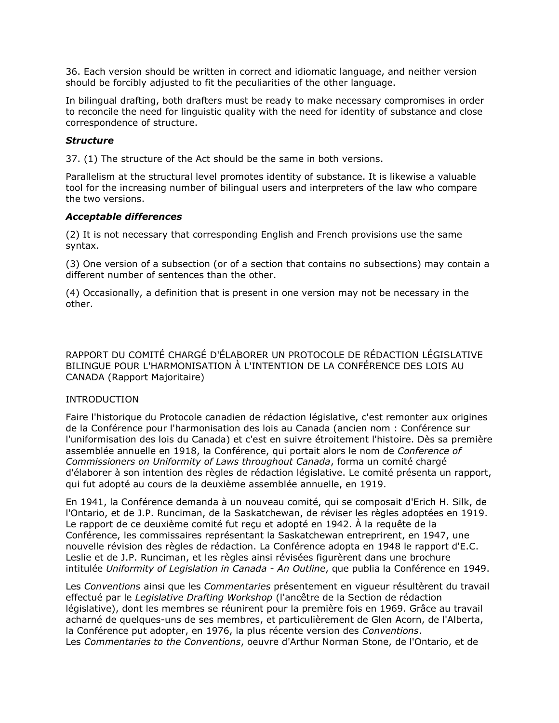36. Each version should be written in correct and idiomatic language, and neither version should be forcibly adjusted to fit the peculiarities of the other language.

In bilingual drafting, both drafters must be ready to make necessary compromises in order to reconcile the need for linguistic quality with the need for identity of substance and close correspondence of structure.

### **Structure**

37. (1) The structure of the Act should be the same in both versions.

Parallelism at the structural level promotes identity of substance. It is likewise a valuable tool for the increasing number of bilingual users and interpreters of the law who compare the two versions.

#### Acceptable differences

(2) It is not necessary that corresponding English and French provisions use the same syntax.

(3) One version of a subsection (or of a section that contains no subsections) may contain a different number of sentences than the other.

(4) Occasionally, a definition that is present in one version may not be necessary in the other.

RAPPORT DU COMITÉ CHARGÉ D'ÉLABORER UN PROTOCOLE DE RÉDACTION LÉGISLATIVE BILINGUE POUR L'HARMONISATION À L'INTENTION DE LA CONFÉRENCE DES LOIS AU CANADA (Rapport Majoritaire)

#### INTRODUCTION

Faire l'historique du Protocole canadien de rédaction législative, c'est remonter aux origines de la Conférence pour l'harmonisation des lois au Canada (ancien nom : Conférence sur l'uniformisation des lois du Canada) et c'est en suivre étroitement l'histoire. Dès sa première assemblée annuelle en 1918, la Conférence, qui portait alors le nom de Conference of Commissioners on Uniformity of Laws throughout Canada, forma un comité chargé d'élaborer à son intention des règles de rédaction législative. Le comité présenta un rapport, qui fut adopté au cours de la deuxième assemblée annuelle, en 1919.

En 1941, la Conférence demanda à un nouveau comité, qui se composait d'Erich H. Silk, de l'Ontario, et de J.P. Runciman, de la Saskatchewan, de réviser les règles adoptées en 1919. Le rapport de ce deuxième comité fut reçu et adopté en 1942. À la requête de la Conférence, les commissaires représentant la Saskatchewan entreprirent, en 1947, une nouvelle révision des règles de rédaction. La Conférence adopta en 1948 le rapport d'E.C. Leslie et de J.P. Runciman, et les règles ainsi révisées figurèrent dans une brochure intitulée Uniformity of Legislation in Canada - An Outline, que publia la Conférence en 1949.

Les Conventions ainsi que les Commentaries présentement en vigueur résultèrent du travail effectué par le Legislative Drafting Workshop (l'ancêtre de la Section de rédaction législative), dont les membres se réunirent pour la première fois en 1969. Grâce au travail acharné de quelques-uns de ses membres, et particulièrement de Glen Acorn, de l'Alberta, la Conférence put adopter, en 1976, la plus récente version des Conventions. Les Commentaries to the Conventions, oeuvre d'Arthur Norman Stone, de l'Ontario, et de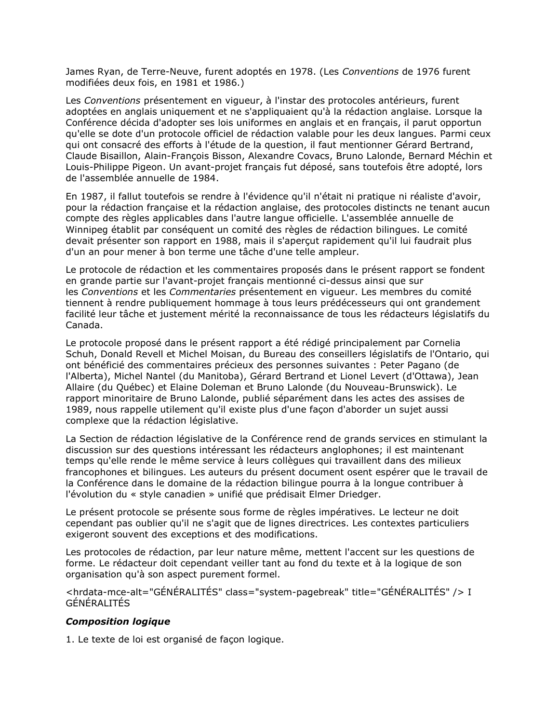James Ryan, de Terre-Neuve, furent adoptés en 1978. (Les Conventions de 1976 furent modifiées deux fois, en 1981 et 1986.)

Les Conventions présentement en vigueur, à l'instar des protocoles antérieurs, furent adoptées en anglais uniquement et ne s'appliquaient qu'à la rédaction anglaise. Lorsque la Conférence décida d'adopter ses lois uniformes en anglais et en français, il parut opportun qu'elle se dote d'un protocole officiel de rédaction valable pour les deux langues. Parmi ceux qui ont consacré des efforts à l'étude de la question, il faut mentionner Gérard Bertrand, Claude Bisaillon, Alain-François Bisson, Alexandre Covacs, Bruno Lalonde, Bernard Méchin et Louis-Philippe Pigeon. Un avant-projet français fut déposé, sans toutefois être adopté, lors de l'assemblée annuelle de 1984.

En 1987, il fallut toutefois se rendre à l'évidence qu'il n'était ni pratique ni réaliste d'avoir, pour la rédaction française et la rédaction anglaise, des protocoles distincts ne tenant aucun compte des règles applicables dans l'autre langue officielle. L'assemblée annuelle de Winnipeg établit par conséquent un comité des règles de rédaction bilingues. Le comité devait présenter son rapport en 1988, mais il s'aperçut rapidement qu'il lui faudrait plus d'un an pour mener à bon terme une tâche d'une telle ampleur.

Le protocole de rédaction et les commentaires proposés dans le présent rapport se fondent en grande partie sur l'avant-projet français mentionné ci-dessus ainsi que sur les Conventions et les Commentaries présentement en vigueur. Les membres du comité tiennent à rendre publiquement hommage à tous leurs prédécesseurs qui ont grandement facilité leur tâche et justement mérité la reconnaissance de tous les rédacteurs législatifs du Canada.

Le protocole proposé dans le présent rapport a été rédigé principalement par Cornelia Schuh, Donald Revell et Michel Moisan, du Bureau des conseillers législatifs de l'Ontario, qui ont bénéficié des commentaires précieux des personnes suivantes : Peter Pagano (de l'Alberta), Michel Nantel (du Manitoba), Gérard Bertrand et Lionel Levert (d'Ottawa), Jean Allaire (du Québec) et Elaine Doleman et Bruno Lalonde (du Nouveau-Brunswick). Le rapport minoritaire de Bruno Lalonde, publié séparément dans les actes des assises de 1989, nous rappelle utilement qu'il existe plus d'une façon d'aborder un sujet aussi complexe que la rédaction législative.

La Section de rédaction législative de la Conférence rend de grands services en stimulant la discussion sur des questions intéressant les rédacteurs anglophones; il est maintenant temps qu'elle rende le même service à leurs collègues qui travaillent dans des milieux francophones et bilingues. Les auteurs du présent document osent espérer que le travail de la Conférence dans le domaine de la rédaction bilingue pourra à la longue contribuer à l'évolution du « style canadien » unifié que prédisait Elmer Driedger.

Le présent protocole se présente sous forme de règles impératives. Le lecteur ne doit cependant pas oublier qu'il ne s'agit que de lignes directrices. Les contextes particuliers exigeront souvent des exceptions et des modifications.

Les protocoles de rédaction, par leur nature même, mettent l'accent sur les questions de forme. Le rédacteur doit cependant veiller tant au fond du texte et à la logique de son organisation qu'à son aspect purement formel.

<hrdata-mce-alt="GÉNÉRALITÉS" class="system-pagebreak" title="GÉNÉRALITÉS" /> I GÉNÉRALITÉS

#### Composition logique

1. Le texte de loi est organisé de façon logique.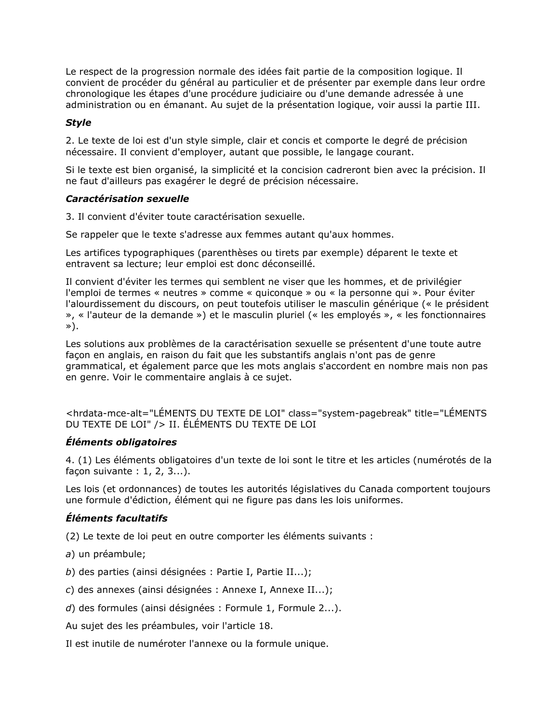Le respect de la progression normale des idées fait partie de la composition logique. Il convient de procéder du général au particulier et de présenter par exemple dans leur ordre chronologique les étapes d'une procédure judiciaire ou d'une demande adressée à une administration ou en émanant. Au sujet de la présentation logique, voir aussi la partie III.

# **Style**

2. Le texte de loi est d'un style simple, clair et concis et comporte le degré de précision nécessaire. Il convient d'employer, autant que possible, le langage courant.

Si le texte est bien organisé, la simplicité et la concision cadreront bien avec la précision. Il ne faut d'ailleurs pas exagérer le degré de précision nécessaire.

#### Caractérisation sexuelle

3. Il convient d'éviter toute caractérisation sexuelle.

Se rappeler que le texte s'adresse aux femmes autant qu'aux hommes.

Les artifices typographiques (parenthèses ou tirets par exemple) déparent le texte et entravent sa lecture; leur emploi est donc déconseillé.

Il convient d'éviter les termes qui semblent ne viser que les hommes, et de privilégier l'emploi de termes « neutres » comme « quiconque » ou « la personne qui ». Pour éviter l'alourdissement du discours, on peut toutefois utiliser le masculin générique (« le président », « l'auteur de la demande ») et le masculin pluriel (« les employés », « les fonctionnaires »).

Les solutions aux problèmes de la caractérisation sexuelle se présentent d'une toute autre façon en anglais, en raison du fait que les substantifs anglais n'ont pas de genre grammatical, et également parce que les mots anglais s'accordent en nombre mais non pas en genre. Voir le commentaire anglais à ce sujet.

<hrdata-mce-alt="LÉMENTS DU TEXTE DE LOI" class="system-pagebreak" title="LÉMENTS DU TEXTE DE LOI" /> II. ÉLÉMENTS DU TEXTE DE LOI

#### Éléments obligatoires

4. (1) Les éléments obligatoires d'un texte de loi sont le titre et les articles (numérotés de la façon suivante : 1, 2, 3...).

Les lois (et ordonnances) de toutes les autorités législatives du Canada comportent toujours une formule d'édiction, élément qui ne figure pas dans les lois uniformes.

#### Éléments facultatifs

(2) Le texte de loi peut en outre comporter les éléments suivants :

- a) un préambule;
- b) des parties (ainsi désignées : Partie I, Partie II...);
- c) des annexes (ainsi désignées : Annexe I, Annexe II...);
- d) des formules (ainsi désignées : Formule 1, Formule 2...).

Au sujet des les préambules, voir l'article 18.

Il est inutile de numéroter l'annexe ou la formule unique.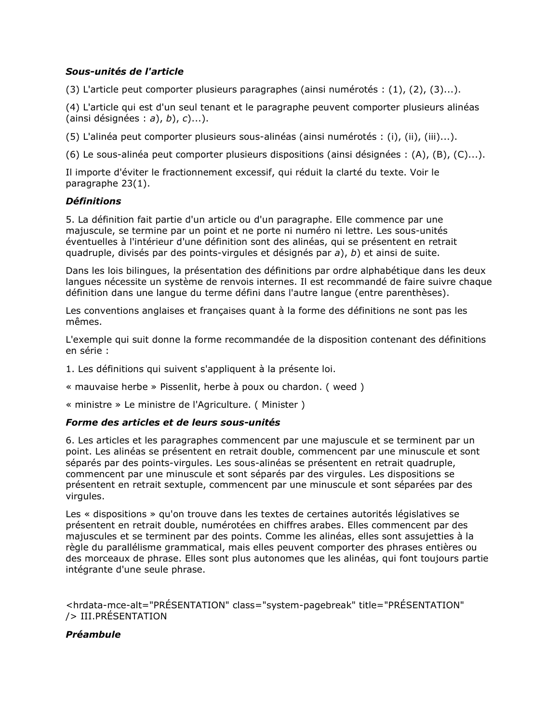# Sous-unités de l'article

(3) L'article peut comporter plusieurs paragraphes (ainsi numérotés : (1), (2), (3)...).

(4) L'article qui est d'un seul tenant et le paragraphe peuvent comporter plusieurs alinéas (ainsi désignées :  $a$ ),  $b$ ),  $c$ )...).

(5) L'alinéa peut comporter plusieurs sous-alinéas (ainsi numérotés : (i), (ii), (iii)...).

(6) Le sous-alinéa peut comporter plusieurs dispositions (ainsi désignées : (A), (B), (C)...).

Il importe d'éviter le fractionnement excessif, qui réduit la clarté du texte. Voir le paragraphe 23(1).

## Définitions

5. La définition fait partie d'un article ou d'un paragraphe. Elle commence par une majuscule, se termine par un point et ne porte ni numéro ni lettre. Les sous-unités éventuelles à l'intérieur d'une définition sont des alinéas, qui se présentent en retrait quadruple, divisés par des points-virgules et désignés par a), b) et ainsi de suite.

Dans les lois bilingues, la présentation des définitions par ordre alphabétique dans les deux langues nécessite un système de renvois internes. Il est recommandé de faire suivre chaque définition dans une langue du terme défini dans l'autre langue (entre parenthèses).

Les conventions anglaises et françaises quant à la forme des définitions ne sont pas les mêmes.

L'exemple qui suit donne la forme recommandée de la disposition contenant des définitions en série :

1. Les définitions qui suivent s'appliquent à la présente loi.

« mauvaise herbe » Pissenlit, herbe à poux ou chardon. ( weed )

« ministre » Le ministre de l'Agriculture. ( Minister )

#### Forme des articles et de leurs sous-unités

6. Les articles et les paragraphes commencent par une majuscule et se terminent par un point. Les alinéas se présentent en retrait double, commencent par une minuscule et sont séparés par des points-virgules. Les sous-alinéas se présentent en retrait quadruple, commencent par une minuscule et sont séparés par des virgules. Les dispositions se présentent en retrait sextuple, commencent par une minuscule et sont séparées par des virgules.

Les « dispositions » qu'on trouve dans les textes de certaines autorités législatives se présentent en retrait double, numérotées en chiffres arabes. Elles commencent par des majuscules et se terminent par des points. Comme les alinéas, elles sont assujetties à la règle du parallélisme grammatical, mais elles peuvent comporter des phrases entières ou des morceaux de phrase. Elles sont plus autonomes que les alinéas, qui font toujours partie intégrante d'une seule phrase.

<hrdata-mce-alt="PRÉSENTATION" class="system-pagebreak" title="PRÉSENTATION" /> III.PRÉSENTATION

# Préambule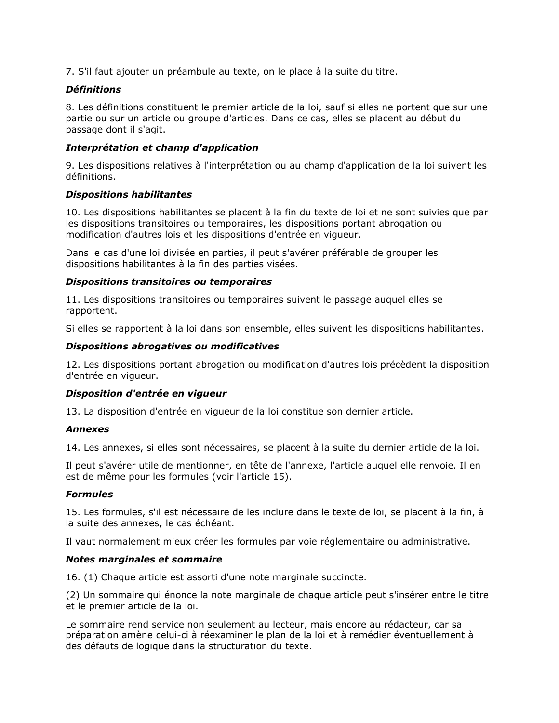7. S'il faut ajouter un préambule au texte, on le place à la suite du titre.

### **Définitions**

8. Les définitions constituent le premier article de la loi, sauf si elles ne portent que sur une partie ou sur un article ou groupe d'articles. Dans ce cas, elles se placent au début du passage dont il s'agit.

# Interprétation et champ d'application

9. Les dispositions relatives à l'interprétation ou au champ d'application de la loi suivent les définitions.

## Dispositions habilitantes

10. Les dispositions habilitantes se placent à la fin du texte de loi et ne sont suivies que par les dispositions transitoires ou temporaires, les dispositions portant abrogation ou modification d'autres lois et les dispositions d'entrée en vigueur.

Dans le cas d'une loi divisée en parties, il peut s'avérer préférable de grouper les dispositions habilitantes à la fin des parties visées.

## Dispositions transitoires ou temporaires

11. Les dispositions transitoires ou temporaires suivent le passage auquel elles se rapportent.

Si elles se rapportent à la loi dans son ensemble, elles suivent les dispositions habilitantes.

## Dispositions abrogatives ou modificatives

12. Les dispositions portant abrogation ou modification d'autres lois précèdent la disposition d'entrée en vigueur.

# Disposition d'entrée en vigueur

13. La disposition d'entrée en vigueur de la loi constitue son dernier article.

# Annexes

14. Les annexes, si elles sont nécessaires, se placent à la suite du dernier article de la loi.

Il peut s'avérer utile de mentionner, en tête de l'annexe, l'article auquel elle renvoie. Il en est de même pour les formules (voir l'article 15).

#### Formules

15. Les formules, s'il est nécessaire de les inclure dans le texte de loi, se placent à la fin, à la suite des annexes, le cas échéant.

Il vaut normalement mieux créer les formules par voie réglementaire ou administrative.

# Notes marginales et sommaire

16. (1) Chaque article est assorti d'une note marginale succincte.

(2) Un sommaire qui énonce la note marginale de chaque article peut s'insérer entre le titre et le premier article de la loi.

Le sommaire rend service non seulement au lecteur, mais encore au rédacteur, car sa préparation amène celui-ci à réexaminer le plan de la loi et à remédier éventuellement à des défauts de logique dans la structuration du texte.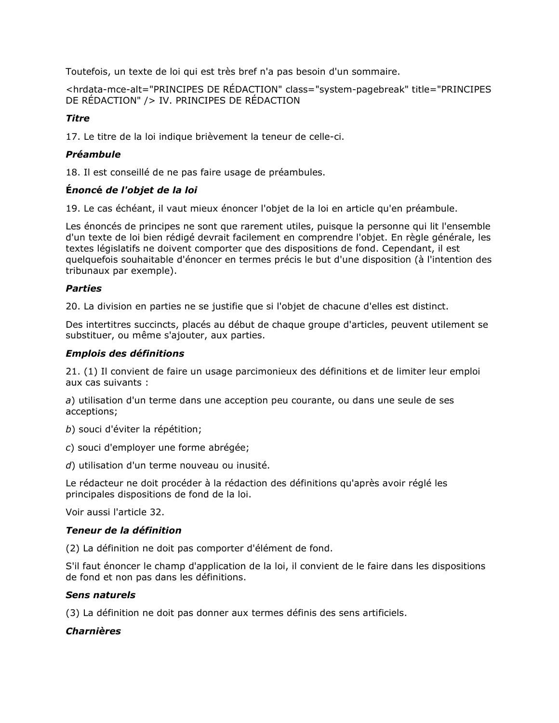Toutefois, un texte de loi qui est très bref n'a pas besoin d'un sommaire.

<hrdata-mce-alt="PRINCIPES DE RÉDACTION" class="system-pagebreak" title="PRINCIPES DE RÉDACTION" /> IV. PRINCIPES DE RÉDACTION

# Titre

17. Le titre de la loi indique brièvement la teneur de celle-ci.

# Préambule

18. Il est conseillé de ne pas faire usage de préambules.

## Énoncé de l'objet de la loi

19. Le cas échéant, il vaut mieux énoncer l'objet de la loi en article qu'en préambule.

Les énoncés de principes ne sont que rarement utiles, puisque la personne qui lit l'ensemble d'un texte de loi bien rédigé devrait facilement en comprendre l'objet. En règle générale, les textes législatifs ne doivent comporter que des dispositions de fond. Cependant, il est quelquefois souhaitable d'énoncer en termes précis le but d'une disposition (à l'intention des tribunaux par exemple).

## Parties

20. La division en parties ne se justifie que si l'objet de chacune d'elles est distinct.

Des intertitres succincts, placés au début de chaque groupe d'articles, peuvent utilement se substituer, ou même s'ajouter, aux parties.

## Emplois des définitions

21. (1) Il convient de faire un usage parcimonieux des définitions et de limiter leur emploi aux cas suivants :

a) utilisation d'un terme dans une acception peu courante, ou dans une seule de ses acceptions;

- b) souci d'éviter la répétition;
- c) souci d'employer une forme abrégée;
- d) utilisation d'un terme nouveau ou inusité.

Le rédacteur ne doit procéder à la rédaction des définitions qu'après avoir réglé les principales dispositions de fond de la loi.

Voir aussi l'article 32.

#### Teneur de la définition

(2) La définition ne doit pas comporter d'élément de fond.

S'il faut énoncer le champ d'application de la loi, il convient de le faire dans les dispositions de fond et non pas dans les définitions.

#### Sens naturels

(3) La définition ne doit pas donner aux termes définis des sens artificiels.

# Charnières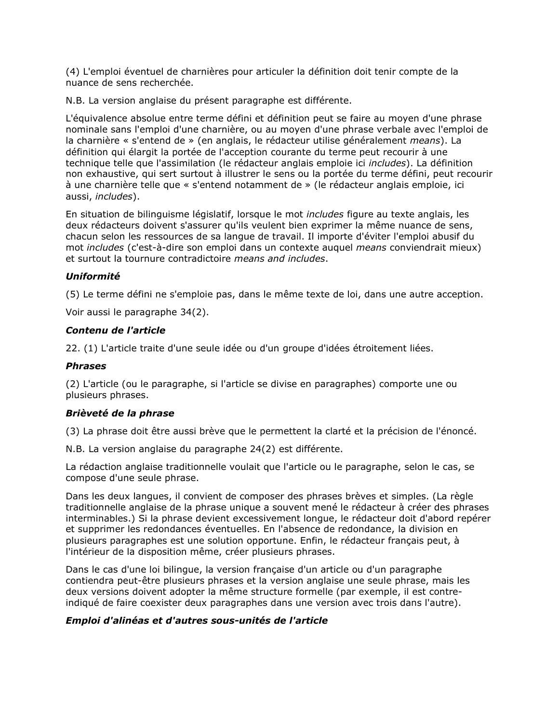(4) L'emploi éventuel de charnières pour articuler la définition doit tenir compte de la nuance de sens recherchée.

N.B. La version anglaise du présent paragraphe est différente.

L'équivalence absolue entre terme défini et définition peut se faire au moyen d'une phrase nominale sans l'emploi d'une charnière, ou au moyen d'une phrase verbale avec l'emploi de la charnière « s'entend de » (en anglais, le rédacteur utilise généralement means). La définition qui élargit la portée de l'acception courante du terme peut recourir à une technique telle que l'assimilation (le rédacteur anglais emploie ici *includes*). La définition non exhaustive, qui sert surtout à illustrer le sens ou la portée du terme défini, peut recourir à une charnière telle que « s'entend notamment de » (le rédacteur anglais emploie, ici aussi, includes).

En situation de bilinguisme législatif, lorsque le mot includes figure au texte anglais, les deux rédacteurs doivent s'assurer qu'ils veulent bien exprimer la même nuance de sens, chacun selon les ressources de sa langue de travail. Il importe d'éviter l'emploi abusif du mot *includes* (c'est-à-dire son emploi dans un contexte auquel *means* conviendrait mieux) et surtout la tournure contradictoire means and includes.

# Uniformité

(5) Le terme défini ne s'emploie pas, dans le même texte de loi, dans une autre acception.

Voir aussi le paragraphe 34(2).

## Contenu de l'article

22. (1) L'article traite d'une seule idée ou d'un groupe d'idées étroitement liées.

# Phrases

(2) L'article (ou le paragraphe, si l'article se divise en paragraphes) comporte une ou plusieurs phrases.

# Brièveté de la phrase

(3) La phrase doit être aussi brève que le permettent la clarté et la précision de l'énoncé.

N.B. La version anglaise du paragraphe 24(2) est différente.

La rédaction anglaise traditionnelle voulait que l'article ou le paragraphe, selon le cas, se compose d'une seule phrase.

Dans les deux langues, il convient de composer des phrases brèves et simples. (La règle traditionnelle anglaise de la phrase unique a souvent mené le rédacteur à créer des phrases interminables.) Si la phrase devient excessivement longue, le rédacteur doit d'abord repérer et supprimer les redondances éventuelles. En l'absence de redondance, la division en plusieurs paragraphes est une solution opportune. Enfin, le rédacteur français peut, à l'intérieur de la disposition même, créer plusieurs phrases.

Dans le cas d'une loi bilingue, la version française d'un article ou d'un paragraphe contiendra peut-être plusieurs phrases et la version anglaise une seule phrase, mais les deux versions doivent adopter la même structure formelle (par exemple, il est contreindiqué de faire coexister deux paragraphes dans une version avec trois dans l'autre).

# Emploi d'alinéas et d'autres sous-unités de l'article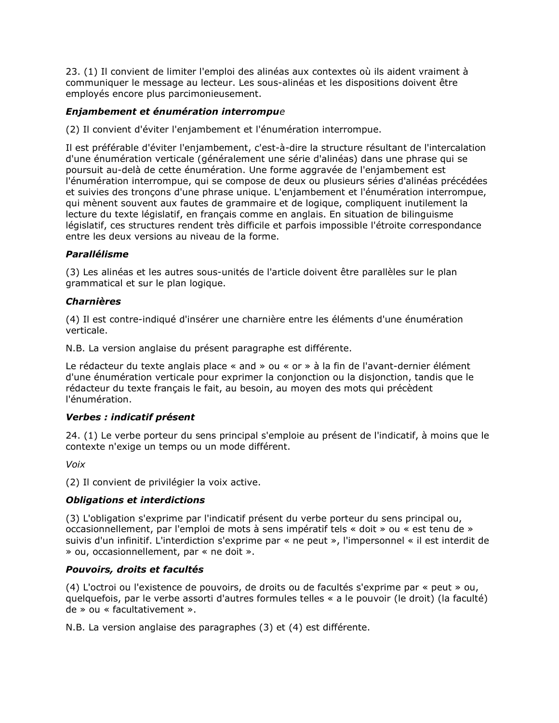23. (1) Il convient de limiter l'emploi des alinéas aux contextes où ils aident vraiment à communiquer le message au lecteur. Les sous-alinéas et les dispositions doivent être employés encore plus parcimonieusement.

# Enjambement et énumération interrompue

(2) Il convient d'éviter l'enjambement et l'énumération interrompue.

Il est préférable d'éviter l'enjambement, c'est-à-dire la structure résultant de l'intercalation d'une énumération verticale (généralement une série d'alinéas) dans une phrase qui se poursuit au-delà de cette énumération. Une forme aggravée de l'enjambement est l'énumération interrompue, qui se compose de deux ou plusieurs séries d'alinéas précédées et suivies des tronçons d'une phrase unique. L'enjambement et l'énumération interrompue, qui mènent souvent aux fautes de grammaire et de logique, compliquent inutilement la lecture du texte législatif, en français comme en anglais. En situation de bilinguisme législatif, ces structures rendent très difficile et parfois impossible l'étroite correspondance entre les deux versions au niveau de la forme.

## Parallélisme

(3) Les alinéas et les autres sous-unités de l'article doivent être parallèles sur le plan grammatical et sur le plan logique.

#### Charnières

(4) Il est contre-indiqué d'insérer une charnière entre les éléments d'une énumération verticale.

N.B. La version anglaise du présent paragraphe est différente.

Le rédacteur du texte anglais place « and » ou « or » à la fin de l'avant-dernier élément d'une énumération verticale pour exprimer la conjonction ou la disjonction, tandis que le rédacteur du texte français le fait, au besoin, au moyen des mots qui précèdent l'énumération.

# Verbes : indicatif présent

24. (1) Le verbe porteur du sens principal s'emploie au présent de l'indicatif, à moins que le contexte n'exige un temps ou un mode différent.

Voix

(2) Il convient de privilégier la voix active.

# Obligations et interdictions

(3) L'obligation s'exprime par l'indicatif présent du verbe porteur du sens principal ou, occasionnellement, par l'emploi de mots à sens impératif tels « doit » ou « est tenu de » suivis d'un infinitif. L'interdiction s'exprime par « ne peut », l'impersonnel « il est interdit de » ou, occasionnellement, par « ne doit ».

# Pouvoirs, droits et facultés

(4) L'octroi ou l'existence de pouvoirs, de droits ou de facultés s'exprime par « peut » ou, quelquefois, par le verbe assorti d'autres formules telles « a le pouvoir (le droit) (la faculté) de » ou « facultativement ».

N.B. La version anglaise des paragraphes (3) et (4) est différente.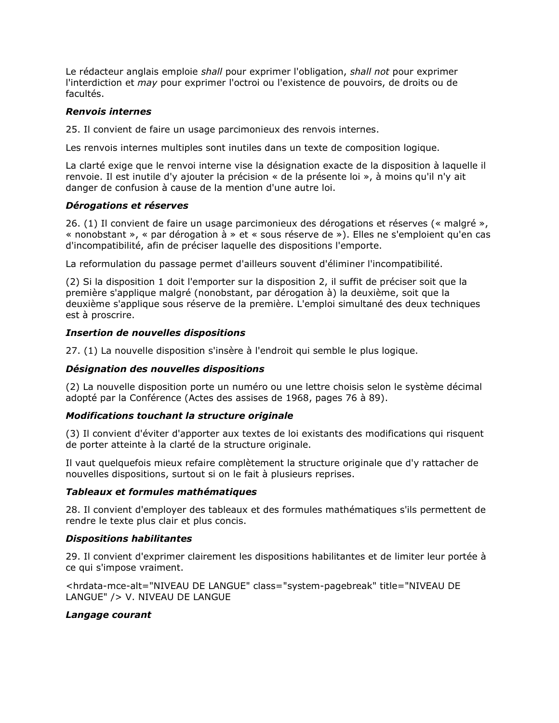Le rédacteur anglais emploie *shall* pour exprimer l'obligation, *shall not* pour exprimer l'interdiction et may pour exprimer l'octroi ou l'existence de pouvoirs, de droits ou de facultés.

## Renvois internes

25. Il convient de faire un usage parcimonieux des renvois internes.

Les renvois internes multiples sont inutiles dans un texte de composition logique.

La clarté exige que le renvoi interne vise la désignation exacte de la disposition à laquelle il renvoie. Il est inutile d'y ajouter la précision « de la présente loi », à moins qu'il n'y ait danger de confusion à cause de la mention d'une autre loi.

## Dérogations et réserves

26. (1) Il convient de faire un usage parcimonieux des dérogations et réserves (« malgré », « nonobstant », « par dérogation à » et « sous réserve de »). Elles ne s'emploient qu'en cas d'incompatibilité, afin de préciser laquelle des dispositions l'emporte.

La reformulation du passage permet d'ailleurs souvent d'éliminer l'incompatibilité.

(2) Si la disposition 1 doit l'emporter sur la disposition 2, il suffit de préciser soit que la première s'applique malgré (nonobstant, par dérogation à) la deuxième, soit que la deuxième s'applique sous réserve de la première. L'emploi simultané des deux techniques est à proscrire.

## Insertion de nouvelles dispositions

27. (1) La nouvelle disposition s'insère à l'endroit qui semble le plus logique.

# Désignation des nouvelles dispositions

(2) La nouvelle disposition porte un numéro ou une lettre choisis selon le système décimal adopté par la Conférence (Actes des assises de 1968, pages 76 à 89).

#### Modifications touchant la structure originale

(3) Il convient d'éviter d'apporter aux textes de loi existants des modifications qui risquent de porter atteinte à la clarté de la structure originale.

Il vaut quelquefois mieux refaire complètement la structure originale que d'y rattacher de nouvelles dispositions, surtout si on le fait à plusieurs reprises.

#### Tableaux et formules mathématiques

28. Il convient d'employer des tableaux et des formules mathématiques s'ils permettent de rendre le texte plus clair et plus concis.

#### Dispositions habilitantes

29. Il convient d'exprimer clairement les dispositions habilitantes et de limiter leur portée à ce qui s'impose vraiment.

<hrdata-mce-alt="NIVEAU DE LANGUE" class="system-pagebreak" title="NIVEAU DE LANGUE" /> V. NIVEAU DE LANGUE

#### Langage courant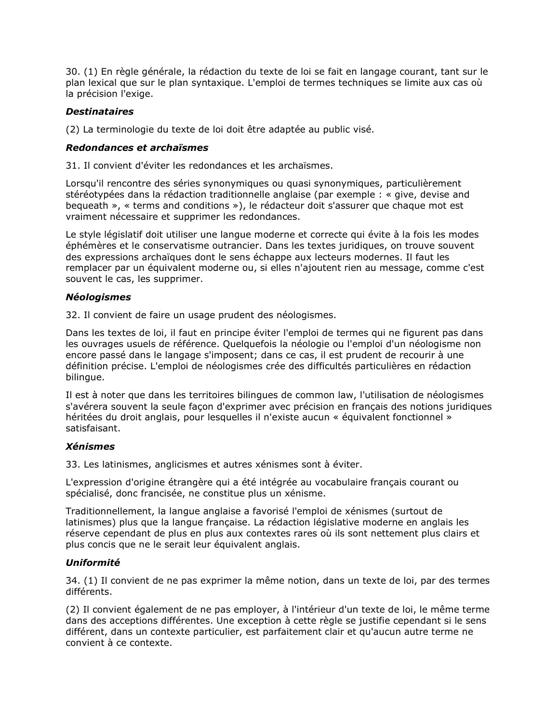30. (1) En règle générale, la rédaction du texte de loi se fait en langage courant, tant sur le plan lexical que sur le plan syntaxique. L'emploi de termes techniques se limite aux cas où la précision l'exige.

## **Destinataires**

(2) La terminologie du texte de loi doit être adaptée au public visé.

#### Redondances et archaïsmes

31. Il convient d'éviter les redondances et les archaïsmes.

Lorsqu'il rencontre des séries synonymiques ou quasi synonymiques, particulièrement stéréotypées dans la rédaction traditionnelle anglaise (par exemple : « give, devise and bequeath », « terms and conditions »), le rédacteur doit s'assurer que chaque mot est vraiment nécessaire et supprimer les redondances.

Le style législatif doit utiliser une langue moderne et correcte qui évite à la fois les modes éphémères et le conservatisme outrancier. Dans les textes juridiques, on trouve souvent des expressions archaïques dont le sens échappe aux lecteurs modernes. Il faut les remplacer par un équivalent moderne ou, si elles n'ajoutent rien au message, comme c'est souvent le cas, les supprimer.

#### Néologismes

32. Il convient de faire un usage prudent des néologismes.

Dans les textes de loi, il faut en principe éviter l'emploi de termes qui ne figurent pas dans les ouvrages usuels de référence. Quelquefois la néologie ou l'emploi d'un néologisme non encore passé dans le langage s'imposent; dans ce cas, il est prudent de recourir à une définition précise. L'emploi de néologismes crée des difficultés particulières en rédaction bilingue.

Il est à noter que dans les territoires bilingues de common law, l'utilisation de néologismes s'avérera souvent la seule façon d'exprimer avec précision en français des notions juridiques héritées du droit anglais, pour lesquelles il n'existe aucun « équivalent fonctionnel » satisfaisant.

# Xénismes

33. Les latinismes, anglicismes et autres xénismes sont à éviter.

L'expression d'origine étrangère qui a été intégrée au vocabulaire français courant ou spécialisé, donc francisée, ne constitue plus un xénisme.

Traditionnellement, la langue anglaise a favorisé l'emploi de xénismes (surtout de latinismes) plus que la langue française. La rédaction législative moderne en anglais les réserve cependant de plus en plus aux contextes rares où ils sont nettement plus clairs et plus concis que ne le serait leur équivalent anglais.

# Uniformité

34. (1) Il convient de ne pas exprimer la même notion, dans un texte de loi, par des termes différents.

(2) Il convient également de ne pas employer, à l'intérieur d'un texte de loi, le même terme dans des acceptions différentes. Une exception à cette règle se justifie cependant si le sens différent, dans un contexte particulier, est parfaitement clair et qu'aucun autre terme ne convient à ce contexte.